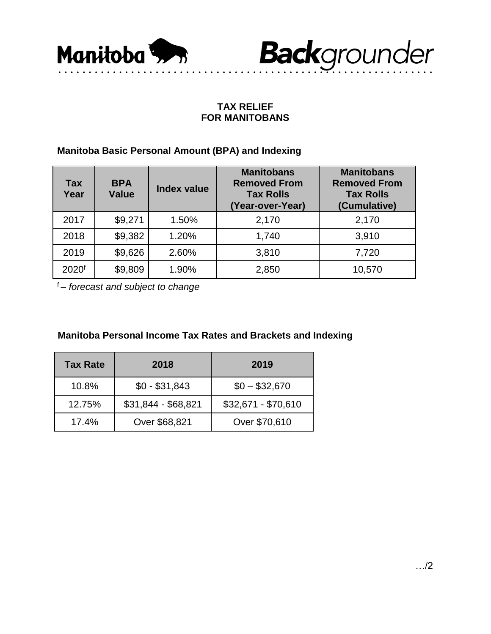



## **TAX RELIEF FOR MANITOBANS**

## **Manitoba Basic Personal Amount (BPA) and Indexing**

| Tax<br>Year       | <b>BPA</b><br><b>Value</b> | Index value | <b>Manitobans</b><br><b>Removed From</b><br><b>Tax Rolls</b><br>(Year-over-Year) | <b>Manitobans</b><br><b>Removed From</b><br><b>Tax Rolls</b><br>(Cumulative) |
|-------------------|----------------------------|-------------|----------------------------------------------------------------------------------|------------------------------------------------------------------------------|
| 2017              | \$9,271                    | 1.50%       | 2,170                                                                            | 2,170                                                                        |
| 2018              | \$9,382                    | 1.20%       | 1,740                                                                            | 3,910                                                                        |
| 2019              | \$9,626                    | 2.60%       | 3,810                                                                            | 7,720                                                                        |
| 2020 <sup>f</sup> | \$9,809                    | 1.90%       | 2,850                                                                            | 10,570                                                                       |

<sup>f</sup>*– forecast and subject to change*

## **Manitoba Personal Income Tax Rates and Brackets and Indexing**

| <b>Tax Rate</b> | 2018                | 2019                |  |
|-----------------|---------------------|---------------------|--|
| 10.8%           | $$0 - $31,843$      | $$0 - $32,670$      |  |
| 12.75%          | \$31,844 - \$68,821 | \$32,671 - \$70,610 |  |
| 17.4%           | Over \$68,821       | Over \$70,610       |  |